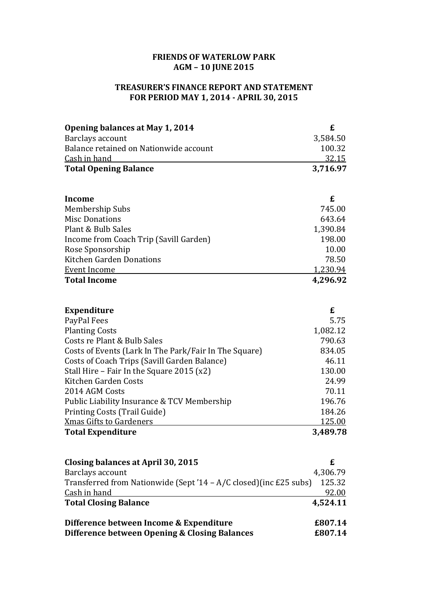## **FRIENDS OF WATERLOW PARK AGM – 10 JUNE 2015**

## **TREASURER'S FINANCE REPORT AND STATEMENT FOR PERIOD MAY 1, 2014 - APRIL 30, 2015**

| Opening balances at May 1, 2014                       | £        |
|-------------------------------------------------------|----------|
| Barclays account                                      | 3,584.50 |
| Balance retained on Nationwide account                | 100.32   |
| Cash in hand                                          | 32.15    |
| <b>Total Opening Balance</b>                          | 3,716.97 |
|                                                       |          |
| Income                                                | £        |
| Membership Subs                                       | 745.00   |
| <b>Misc Donations</b>                                 | 643.64   |
| Plant & Bulb Sales                                    | 1,390.84 |
| Income from Coach Trip (Savill Garden)                | 198.00   |
| Rose Sponsorship                                      | 10.00    |
| <b>Kitchen Garden Donations</b>                       | 78.50    |
| <b>Event Income</b>                                   | 1,230.94 |
| <b>Total Income</b>                                   | 4,296.92 |
|                                                       |          |
| <b>Expenditure</b>                                    | £        |
| PayPal Fees                                           | 5.75     |
| <b>Planting Costs</b>                                 | 1,082.12 |
| Costs re Plant & Bulb Sales                           | 790.63   |
| Costs of Events (Lark In The Park/Fair In The Square) | 834.05   |
| Costs of Coach Trips (Savill Garden Balance)          | 46.11    |
| Stall Hire - Fair In the Square 2015 (x2)             | 130.00   |
| Kitchen Garden Costs                                  | 24.99    |
| 2014 AGM Costs                                        | 70.11    |
| Public Liability Insurance & TCV Membership           | 196.76   |
| Printing Costs (Trail Guide)                          | 184.26   |
| <b>Xmas Gifts to Gardeners</b>                        | 125.00   |
| <b>Total Expenditure</b>                              | 3,489.78 |
|                                                       |          |
| <b>Closing balances at April 30, 2015</b>             | £        |

| Closing balances at April 30, 2015                                 |          |
|--------------------------------------------------------------------|----------|
| Barclays account                                                   | 4,306.79 |
| Transferred from Nationwide (Sept '14 – A/C closed) (inc £25 subs) | 125.32   |
| Cash in hand                                                       | 92.00    |
| <b>Total Closing Balance</b>                                       | 4,524.11 |
| Difference between Income & Expenditure                            | £807.14  |
| Difference between Opening & Closing Balances                      | £807.14  |